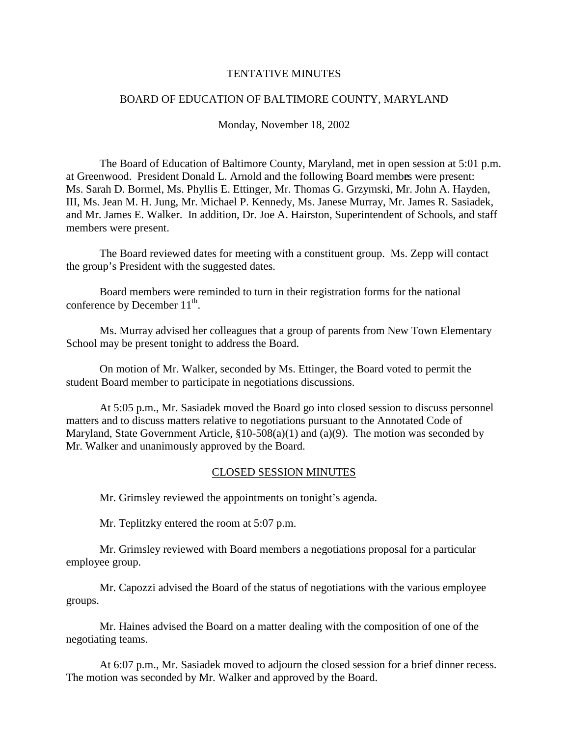#### TENTATIVEMINUTES

## BOARD OF EDUCATION OF BALTIMORE COUNTY, MARYLAND

Monday, November 18, 2002

The Board of Education of Baltimore County, Maryland, met in open session at 5:01 p.m. at Greenwood. President Donald L. Arnold and the following Board membes were present: Ms. Sarah D. Bormel, Ms. Phyllis E. Ettinger, Mr. Thomas G. Grzymski, Mr. John A. Hayden, III, Ms. Jean M. H. Jung, Mr. Michael P. Kennedy, Ms. Janese Murray, Mr. James R. Sasiadek, and Mr. James E. Walker. In addition, Dr. Joe A. Hairst on, Superintendent of Schools, and staff members were present.

The Board reviewed dates for meeting with a constituent group. Ms. Zepp will contact the group's President with the suggested dates.

Board members were reminded to turn in their registrati on forms for the national  $conference by December 11<sup>th</sup>$ .

Ms. Murray advised her colleagues that a group of parents from New Town Elementary School may be present tonight to address the Board.

On motion of Mr. Walker, seconded by Ms. Ettinger, the Board v oted to permit the student Board member to participate in negotiations discussions.

At 5:05 p.m., Mr. Sasiadek moved the Board goint oclosed session to discuss personnel matters and to discuss matters relative to negotiations pursuant to the Annotated C ode of Maryland, State Government Article,  $$10 - 508(a)(1)$  and  $(a)(9)$ . The motion was seconded by Mr. Walker and unanimously approved by the Board.

#### CLOSEDSESSIONMINUTES

Mr. Grimsley reviewed the appointments ontonight's agenda.

Mr. Teplitzky entered the room at 5:07 p.m.

Mr. Grimsley reviewed with Board members a negotiations proposal for a particular employee group.

Mr. Capozziadvised the Board of the status of negotiations with the various employee groups.

Mr. Haines advised the Board on am atter dealing with the composition of one of the negotiating teams.

At 6:07 p.m., Mr. Sasiadek moved to adjourn the closed session for a brief dinner recess. The motion was seconded by Mr. Walker and approved by the Board.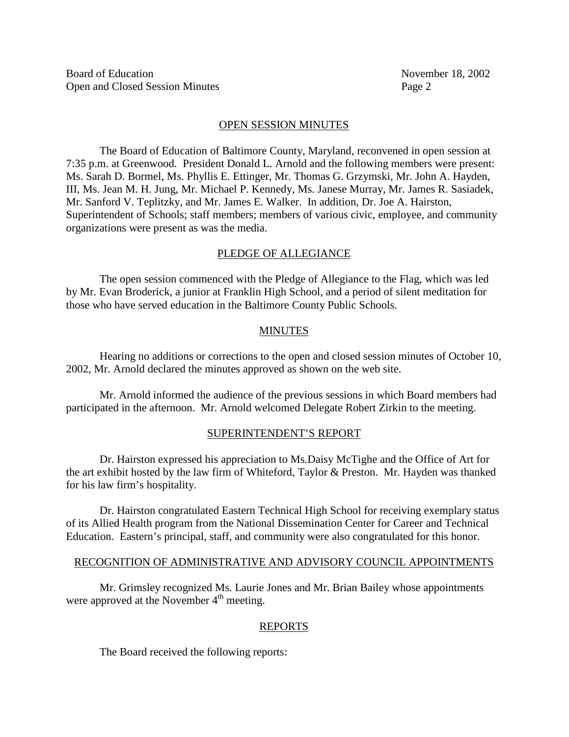## **OPENSESSIONMINUTES**

The Board of Education of Baltimore County, Maryland, reconvened in open session at 7:35 p.m. at Greenwood. President Donald L. Arnold and the following members were presen t: Ms. Sarah D. Bormel, Ms. Phyllis E. Ettinger, Mr. Thomas G. Grzymski, Mr. John A. Hayden, III, Ms. Jean M. H. Jung, Mr. Michael P. Kennedy, Ms. Janese Murray, Mr. James R. Sasiadek, Mr. Sanford V. Teplitzky, and Mr. James E. Walker. In addition, Dr. J oe A. Hairston, Superintendent of Schools; staff members; members of various civic, employee, and community organizations were present as was the media.

## PLEDGEOFALLEGIANCE

The open session commenced with the Pledge of Allegian ce to the Flag, which was led by Mr. Evan Broderick, a junior at Franklin High School, and a period of silent meditation for those who have served education in the Baltimore County Public Schools.

## MINUTES

Hearing no additions or corrections to the open and closed session minute sof October 10, 2002, Mr. Arnold declared the minutes approved as shown on the website.

Mr. Arnold informed the audience of the previous sessions in which Board members had participated in the afternoon. Mr. Arnold welcomed Delegate Robert Zirkin to the meeting.

#### SUPERINTENDENT'S REPORT

Dr. Hairston expressed his appreciation to Ms. Daisy McTighe and the Office of Art for the art exhibit hosted by the law firm of Whiteford, Taylor & Preston. Mr. Hayden was thanked for his law firm's hospitality.

Dr. Hairston congratulated Eastern Technical High School for receiving exemplary status of its Allied Health program from the National Dissemination Center for Career and Technical Education. Eastern's principal, staff, and community were also congratulate dforthishonor.

#### RECOGNITION OF ADMINISTRATIVE AND ADVISORY COUNCIL APPOINTMENTS

Mr. Grimsley recognized Ms. Laurie Jones and Mr. Brian Bailey whose appointments broved at the November 4 the meeting. were approved at the November 4

#### REPORTS

The Board received the following r eports: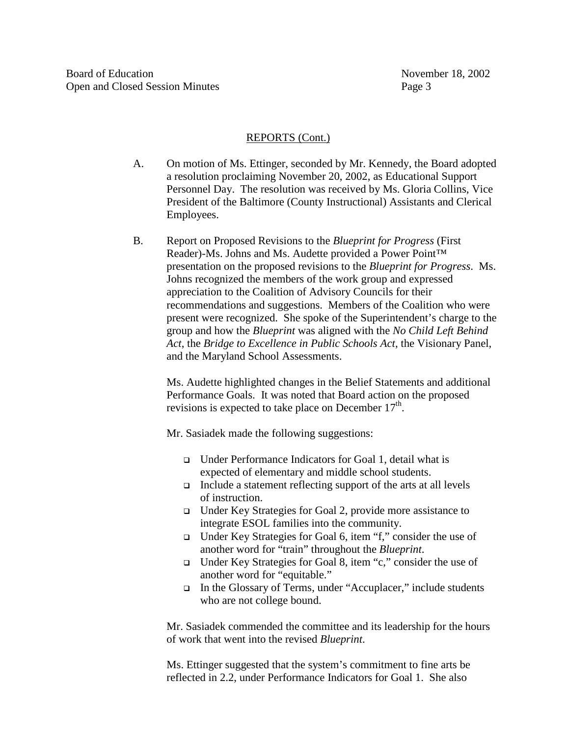## REPORTS (Cont.)

- A. Onmotion of Ms. Ettinger, seconded by Mr. Kennedy, the Board adopted aresolution proclaiming November 20, 2002, as Educational Suppor t Personnel Day. The resolution was received by Ms. Gloria Collins, Vice President of the Baltimore (County Instructional) Assistants and Clerical Employees.
- B. Reporton Proposed Revisions to the *Blueprint for Progress* (First Reader)-Ms. Johns and Ms. A udette provided a Power Point<sup>™</sup> presentation on the proposed revisions to the *Blueprint for Progress* . Ms. Johns recognized the members of the work group and expressed appreciation to the Coalition of Advisory Councils for their recommendations and suggesti ons. Members of the Coalition who were present were recognized. She spoke of the Superintendent's charge to the group and how the *Blueprint* was aligned with the *No Child Left Behind*  Act, the *Bridge to Excellence in Public Schools Act* , the Visionary Panel , and the Maryland School Assessments.

Ms. Audette highlighted changes in the Belief Statements and additional Performance Goals. It was noted that Board action on the proposed revisions is expected to take place on December 17

Mr. Sasiadek made the efollowing suggestions:

- $\Box$  Under Performance Indicators for Goal 1, detail what is expected of elementary and middles choolstudents.
- $\Box$  Include a statement reflecting support of the arts at all levels of instruction.
- □ UnderKeyStrategiesforGoal2, provide more assistance to integrate ESOL families into the community.
- □ UnderKeyStrategiesforGoal6, item "f," consider the use of anotherword for "train" throughout the *Blueprint*.
- □ UnderKeyStrategiesforGoal8, item "c," consider the use of another word f or "equitable."
- □ Inthe Glossary of Terms, under "Accuplacer," include students who are not college bound.

Mr. Sasiadek commended the committee and its leadership for the hours of work that went into the revised *Blueprint*.

Ms. Ettinger suggested that the system's commitment to fine arts be reflected in 2.2, under Performance Indicators for Goal 1. She also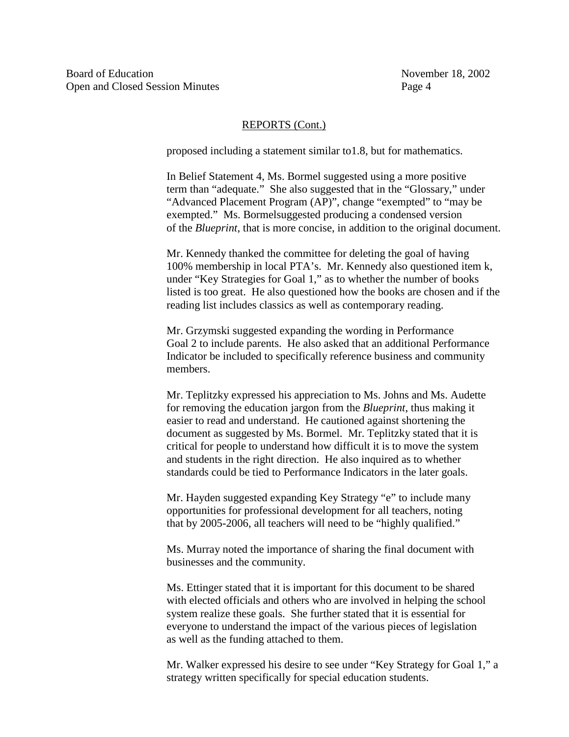#### REPORTS(Cont.)

proposed including a statement similar to 1.8, but formathematics.

In Belief Statement 4, Ms. Bormelsuggested using a more positive term than "adequate." She also suggested that in the "Glossary," under "Advanced Placement Program (AP)", change "exempted" to "may be exempted." Ms. Bormel suggested producing a condensed version of the *Blueprint*, that is more concise, in addition to the original document.

Mr. Kennedy thanked the committee for deleting the goal of having 100% membership in local PTA's. Mr. Kennedy also questioned item k, under "KeyStrategies for Goal1," as to whether the number of books listed is too great. He also questioned how the books are chosen and if the reading list includes classics as well as contemporary reading.

Mr. Grzymski suggested expanding the wording inerformance Goal2toincludeparents. HealsoaskedthatanadditionalPerformance Indicator be included to specificall vreference business and community members.

Mr. Teplitzky expressed his appreciation to Ms. Johns and Ms. Audette for removing the education jargon from the *Blueprint*, thus making it easier to read and understand. He cautioned against shortening the document as suggested by Ms. Bormel. Mr. Teplitzky stated that it is critical for people to understand how difficult it is to move the system and students in the right direction. He also inquired as to whether standards could be tied to Performance Indicators in the later goals.

Mr. Hayden suggested expanding Key Strategy "e" to include many opportunities for professional development for all teachers, noting that by 2005 -2006, all teachers will need to be "highly qualified."

Ms. Murray noted the importance of sharing the final document with businesses and the community.

Ms. Ettinger stated that it is important for this document to be shared with elected of ficials and others who are involved in helping the school system realize these goals. She further stated that it is essential for everyone to understand the impact of the various pieces of legislation as well as the funding atta ched to them.

Mr. Walker expressed his desire to see under "Key Strategy for Goal 1," a strategy written specifically for special education students.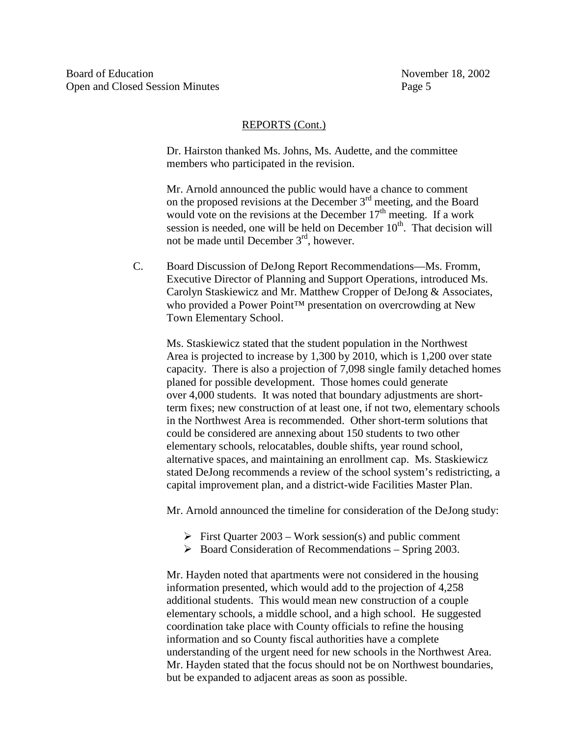#### REPORTS(Cont.)

Dr. Hairston thanked Ms. Johns, Ms. Audette, and the committee members who participated in the revision.

Mr. Arnold announced the public would have a chance to comment on the proposed revisions at the December 3 rd meeting, and the Board would vote on the revisions at the December 17 rd meeting. If awork would vote on the revisions at the December 17 the meeting. If a work<br>sessionisheeded.one will be held on December 10 the That decision will session is needed, one will be held on December 10<br>not be made until December 3 <sup>rd</sup>. however. not be made until December 3

C. Board Discussion of DeJong Report Recommendations —Ms. Fromm, ExecutiveDirector of Planning and Support Operations, introduced Ms. Carolyn Staskiewicz and Mr. Matthew Cropper of DeJong & Associates, who provided a Power Point TM presentation on overcrowding at New Town Elementary School.

Ms. Staskiewicz stated that the student population in the Northwest Areaisprojected to increase by 1,300 by 2010, which is 1,200 over state capacity. There is also a projection of 7,098 si ngle family detached homes planed for possible development. Those homes could generate over 4,000 students. It was noted that boundary adjustments are short term fixes; new construction of at least one, if not two, elementary schools in the Northwest Ar eais recommended. Other short -term solutions that could be considered are annexing about 150 students to two other elementary schools, relocatables, double shifts, year roundschool, alternative spaces, and maintaining an enrollment cap. Ms. Staskiewic z stated DeJong recommends are view of these hoolsystem's redistricting, a capital improvement plan, and a district -wide Facilities Master Plan.

Mr. Arnold announced the timeline for consideration of the DeJ ongstudy:

- $\triangleright$  First Quarter 2003 Work session (s) and public comment
- > Board Consideration of Recommendations Spring 2003.

Mr. Hayden noted that apartments were not considered in the housing information presented, which would add to the projection of 4,258 additional students. This would mean new cons truction of a couple elementary schools, a middle school, and a high school. He suggested coordination take place with County of ficials to refine the housing information and so County fiscal authorities have a complete understanding of the urgent need for news chools in the Northwest Area. Mr. Hayden stated that the focus should not be on North west boundaries, but be expanded to adjacent areas as soon as possible.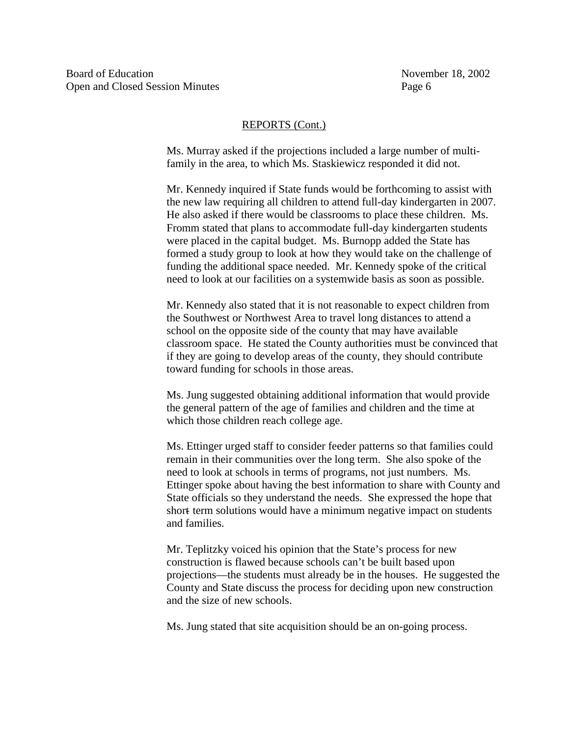#### REPORTS(Cont.)

Ms. Murray asked if the projections included a large number of multi family in the area, to which Ms. Staskiewicz responded it didnot.

Mr. Kenned yinquired if State funds would be forthcoming to assist with the new law requiring all childr ento attend full -day kindergarten in 2007. He also asked if there would be classrooms to place these children. Ms. Fromm stated that plans to accommodate full -day kindergarten students were placed in the capital budget. Ms. Burnoppadded the State has formed a study group to look a thow they would take on the challenge of funding the additional space needed. Mr. Kennedy spoke of the critical need to look at our facilities on asystem wide basis as soon as possible.

Mr. Kennedy also stated that it is no treasonable to expect children from the Southwest or Northwest Area to travellong distances to attend a school on the opposite side of the county that may have available classroom space. He stated the County authorities must be convinced that if the yar egoing to develop areas of the county, they should contribute toward funding for schools in those areas.

Ms. Jung suggested obtaining additional information that would provide the general pattern of the age of families and children and the time at which those children reach college age.

Ms. Ettingerurged staff to consider feeder patterns so that families could remain in their communities over the long term. She also spoke of the need to look at schools in terms of programs, not just numbers. Ms. Ettingerspoke about having the best information to share with County and State officials so the yunderstand the needs. She expressed the hope that short- term solutions would have a minimum negative impact on students and families.

Mr. Teplitzky voiced his opinion that the State's process for new construction is flawed becauses chools can't be built based upon projections—the students must already be in the houses. He suggested the County and State discuss the process for deciding upon new construction and the size of new schools.

Ms. Jung stated that site acquisition should be an on -going process.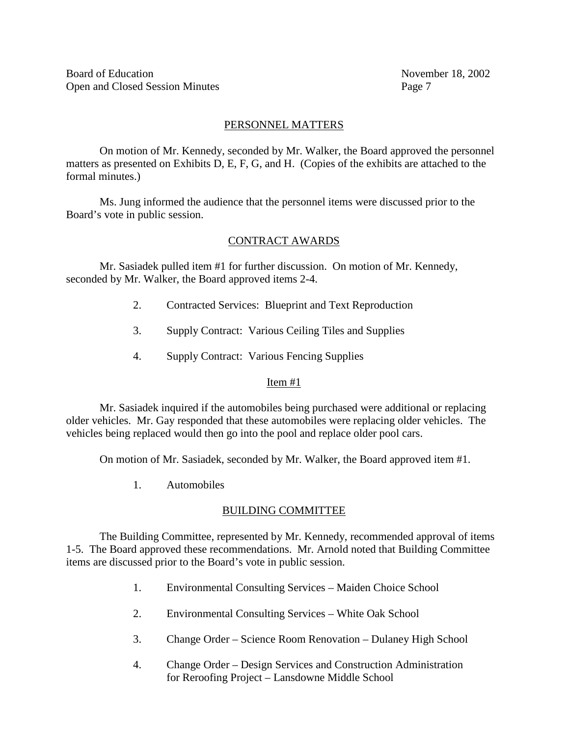# PERSONNELMATTERS

On motion of Mr. Kennedy, seconded by Mr. Walker, the Board approved the personnel matters as presented on Exhibits D.E.F.G. and H. (Copies of the exhibits are attached to the formal minutes.)

Ms. Jung informed the audience that the personnel items were discussed prior to the Board's vot einpublic session.

# CONTRACT AWARDS

Mr. Sasiadek pulled item #1 for further discussion. On motion of Mr. Kennedy, seconded by Mr. Walker, the Board approved items 2- 4.

- 2. Contracted Services: Blueprint and Text Reproduction
- 3. Supply Contract: Various Ceiling Tiles and Supplies
- 4. SupplyContract: Various Fencing Supplies

# Item#1

Mr. Sasiadek inquired if the automobiles being purchased were additional or replacing older vehicles. Mr. Gay responded that these automobiles we rereplacing o lder vehicles. The vehicles being replaced would then go into the pool and replace older pool cars.

On motion of Mr. Sasiadek, seconded by Mr. Walker, the Board approved item #1.

1. Automobiles

# **BUILDINGCOMMITTEE**

The Building Committee, represen ted by Mr. Kennedy, recommended approval of items 1-5. The Board approved these recommendations. Mr. Arnold noted that Building Committee items are discussed prior to the Board's vote in public session.

- 1. Environmental Consulting Services Maiden Choice School
- 2. Environmental Consulting Services White Oak School
- 3. Change Order Science Room Renovation Dulaney High School
- 4. Change Order Design Services and Construction Administration for Reroofing Project – Lansdowne Middle Schoo l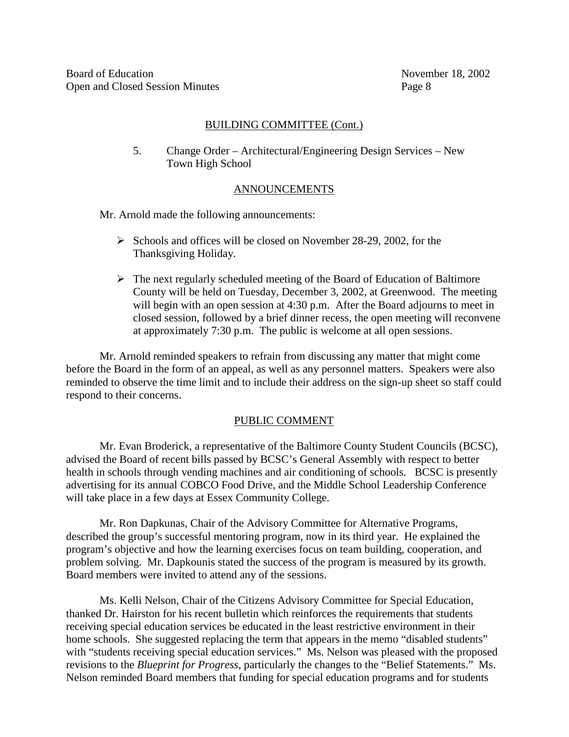#### BUILDINGCOMMITTEE(Cont.)

5. Change Order – Architectural/Engineering Design Services – New **TownHighSchool** 

#### ANNOUNCEMENTS

Mr. Arnold made the following announcements:

- $\triangleright$  Schools and offices will be closed on November 28 -29, 2002, for the Thanksgiving Holiday.
- $\triangleright$  The next regularly scheduled meeting of the Board of Education of Baltimore County will be held on Tuesday, December 3, 2002, at Green wood. The meet ing will begin with an open session at 4:30 p.m. After the Board adjourns to meet in closed session, followed by a brief dinner recess, the open meeting will reconvene at approximately 7:30 p.m. The public is welcome at all opensessions.

Mr. Arnoldrem inded speakers to refrain from discussing any matter that might come before the Board in the form of an appeal, as well as any personnel matters. Speakers were also reminded to observe the time limit and to include their address on the sign equals between the superstanding of respond to their concerns.

## **PUBLICCOMMENT**

Mr. Evan Broderick, are presentative of the Baltimore County Student Councils (BCSC), advised the Board of recent bills passed by BCSC's General Assembly with respect to better healthins chools throu ghvending machines and airconditioning of schools. BCSC is presently advertising for its annual COBCO Food Drive, and the Middle School Leadership Conference will take place in a few days at Essex Community College.

Mr. Ron Dapkunas, Chair of the Adv isory Committee for Alternative Programs, described the group's successful mentoring program, now in its third year. He explained the program's objective and how the learning exercises focus on team building, cooperation, and problem solving. Mr. Dapkoun is stated the success of the program is measured by its growth. Board members were invited to attend any of thesessions.

Ms. Kelli Nelson, Chair of the Citizens Advisory Committee for Special Education, thanked Dr. Hairston for his recent bullet in whic here inforces the requirements that students receiving special education services beeducated in the least restrictive environment in their homeschools. She suggested replacing the term that appears in the memo "disabled students" with "students receiving special educations ervices." Ms. Nelson was pleased with the proposed revisions to the *Blueprint for Progress*, particularly the changes to the "Belief Statements." Ms. Nelson reminded Board members that funding for special education programs and for studies that studies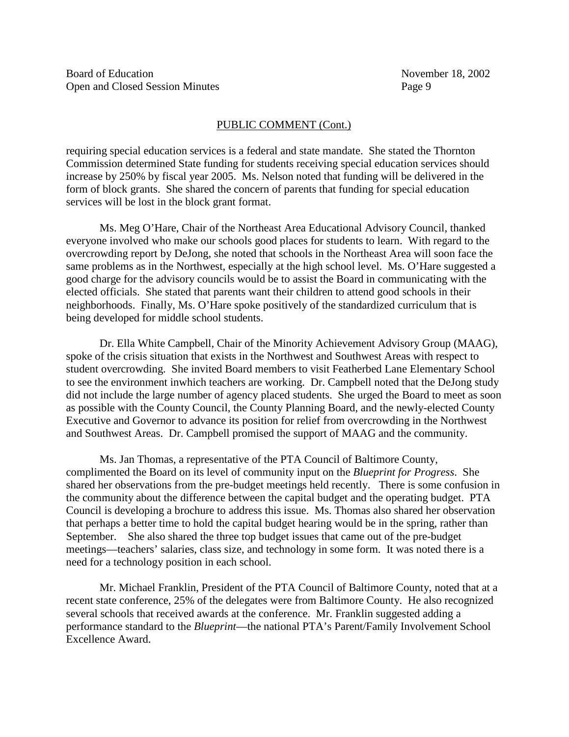## PUBLICCOMMENT(Cont.)

requiring special education services is a federal and state mandate. She stated the Thornton Commission determined State funding for s tudents receiving special education services should increase by 250% by fiscal year 2005. Ms. Nelson noted that funding will be delive redin the form of block grants. She shared the concern of parents that funding for special education services will bel ost in the block grant format.

Ms. MegO'Hare, Chair of the Northeast Area Educational Advisory Council, thanked everyone involved who make our schools good places for students to learn. With regard to the overcrowding report by DeJong, she noted that schools in the Northeast Area will soon face the same problems as in the Northwest, especially at the high school level. Ms. O'Hare suggested a good charge for the advisory councils would be to assist the Board in communicating with the elected officials . She stated that parents want their children to attend goodschools in their neighborhoods. Finally, Ms. O'Hare spoke positively of the standardized curriculum that is being developed for middles chools tudents.

Dr. Ella White Campbell, Chair of the M inority Achievement Advisory Group (MAAG), spoke of the crisis situation that exists in the North west and South west Areas with respect to student overcrowding. She invited Board members to visit Feather bed Lane Elementary School to see the environment in which teachers are working. Dr. Campbell noted that the DeJong study did not include the large number of agency placed students. She urged the Board to meet as soon as possible with the County Council, the County Planning Board, and the newly -elected County Executive and Governor to advance its position for relief from overcrowding in the Northwest and Southwest Areas. Dr. Campbell promised the support of MAAG and the community.

Ms. Jan Thomas, are presentative of the PTA Council of Baltimore County complimented the Board on its level of community input on the *Blueprint for Progress* . She shared her observations from the pre-budget meetings held recently. The reiss ome confusion in the community about the difference between the capital budget and the operating budget. PTA Council is developing a brochure to address this issue. Ms. Thomas also shared her observation that perhaps a better time to hold the capital budget hearing would be in the spring, rather than September. She also shared the t three top budget issues that came out of the premeetings—teachers' salaries, class size, and technology in some form. It was noted there is a need for a technology position in each school.

Mr. Michael Franklin, President of the PTA Council of Bal timore County, noted that at a recent state conference, 25% of the delegates were from Baltimore County. He also recognized several schools that received awards at the conference. Mr. Franklin suggested adding a performance standard to the *Blueprint*—the national PTA's Parent/Family Involvement School Excellence Award.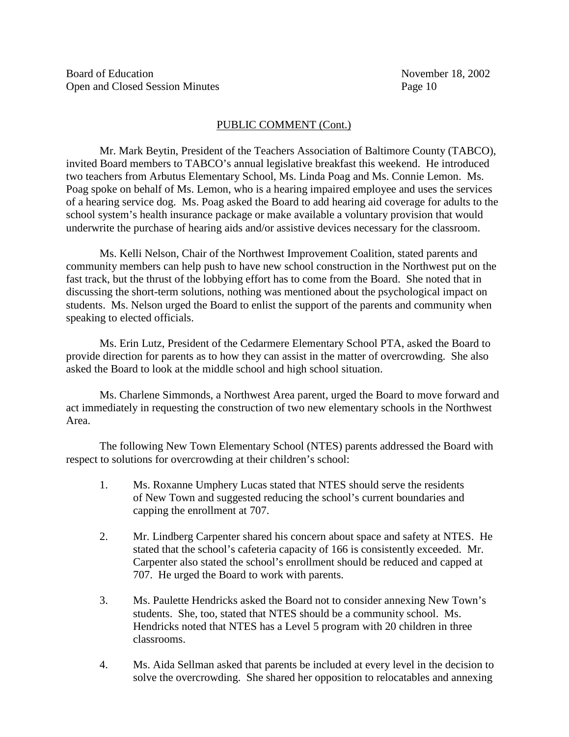## PUBLICCOMMENT(Cont.)

Mr. Mark Beytin, President of the Teachers Association of Baltimore C ounty (TABCO), invited Board members to TABCO's annual legislative break fast this weekend. He introduced two teachers from Arbutus Elementary School, Ms. Linda Poagand Ms. Connie Lemon. Ms. Poagspoke on behalf of Ms. Lemon, who is a hearing impaired em ployee and uses the services of a hearingserviced og. Ms. Poagasked the Board to add hearing aid coverage for adults to the school system's healthin surance package or make available a voluntary provision that would underwrite the purchase of hearing ai ds and/or assistive devices necessary for the classroom.

Ms. Kelli Nelson, Chair of the Northwest Improvement Coalition, stated parents and community members can help push to have new school construction in the North west put on the fasttrack, but the the rust of the lobbying efforthas to come from the Board. She noted that in discussing the short -term solutions, nothing was mentioned about the psychological impact on students. Ms. Nelson urged the Board to enlist the support of the parents and community when speaking to elected officials.

Ms. Erin Lutz, President of the Cedarmere Elementary School PTA, asked the Board to provide direction for parents as to how the year assist in the matter of overcrowding. She also asked the Board to look at the middl eschool and high school situation.

Ms. Charlene Simmonds, a Northwest Area parent, urged the Board to move forward and actimmediately in requesting the construction of two new elementary schools in the Northwest Area.

The following New Town Elementar ySchool (NTES) parents addressed the Board with respecttosolutions for overcrowding at their children's school:

- 1. Ms. Roxanne Umphery Lucas stated that NTES should serve the residents of New Town and suggested reducing the school's current boundari es and capping the enrollmentat 707.
- 2. Mr. Lindberg Carpenter shared his concernabout space and safety at NTES. He stated that the school's cafeteria capacity of 166 is consistently exceeded. Mr. Carpenter also stated the school's enrollments ho uld be reduced and capped at 707. Heurged the Board towork with parents.
- 3. Ms. Paulette Hendricks asked the Board not to consider annexing New Town's students. She, too, stated that NTES should be a community school. Ms. Hendricks noted that NTES ha sa Level 5 program with 20 children in three classrooms.
- 4. Ms. Aida Sellman asked that parents be included at every level in the decision to solve the overcrowding. She shared the ropposition to relocatables and annexing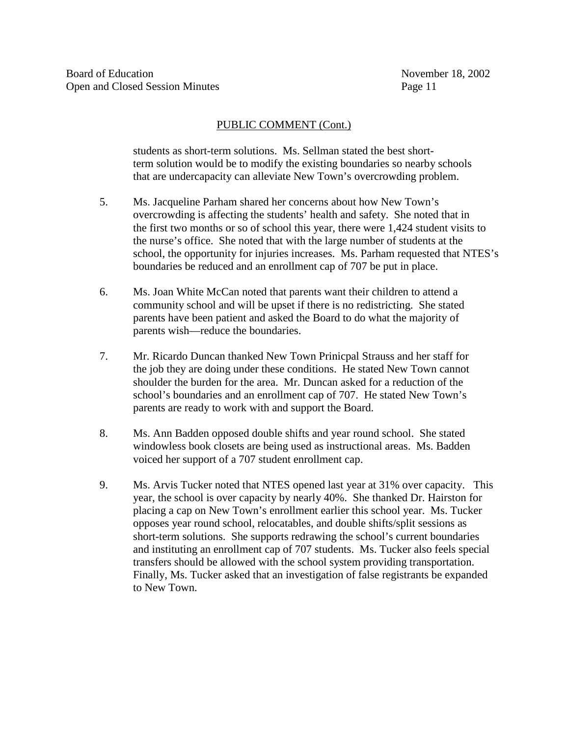## PUBLICCOMMENT(Cont.)

students as short -term solutions. Ms. Sell man stated the best short term solution would be to modify the existing boundaries so near by schools that are undercapacity can nalleviate New Town's overcrowding problem.

- 5. Ms. Jacqueline Parham shared her concerns about how New Town's overcrowding is affecting the students' health and safety. She noted that in the first two months or so of school this year, there were 1,424 student visits to the nurse's office. She noted that with the large number of students at the school, the opportunity for injuries increases. Ms. Parham requested that NTES's boundaries be reduced and an enrollment cap of 707 be put in place.
- 6. Ms. Joan White McCan noted that parents want their children to attend a community school and will be upset if the reisnored is tricting. She stated parents have been patient and asked the Board to do what the majority of parents wish —reduce the bounda ries.
- 7. Mr. Ricardo Duncan thanked New Town Prinicpal Strauss and her staff for the job they are doing under these conditions. He stated New Town cannot shoulder the burden for the area. Mr. Duncanasked for a reduction of the school's boundari es and an enrollment cap of 707. He stated New Town's parents are ready to work with and support the Board.
- 8. Ms. Ann Badden opposed double shifts and year rounds chool. She stated windowlessbook closets are being used as instructional areas. Ms. Badden voiced her support of a 707 student enrollment cap.
- 9. Ms. Arvis Tucker noted that NTES opened last year at 31% over capacity. This year, the school is overcapacity by nearly 40%. She thanked Dr. Hairston for placing a cap on New Town's enrol lment earlier this school year. Ms. Tucker opposes year round school, relocatables, and double shifts/split sessions as short-term solutions. She supports redrawing the school's current boundaries and instituting an enrollment cap of 707 students. Ms. Tucker also feels special transfers should be allowed with these hools ystem providing transportation. Finally, Ms. Tucker asked that an investigation of false registrants be expanded to New Town.